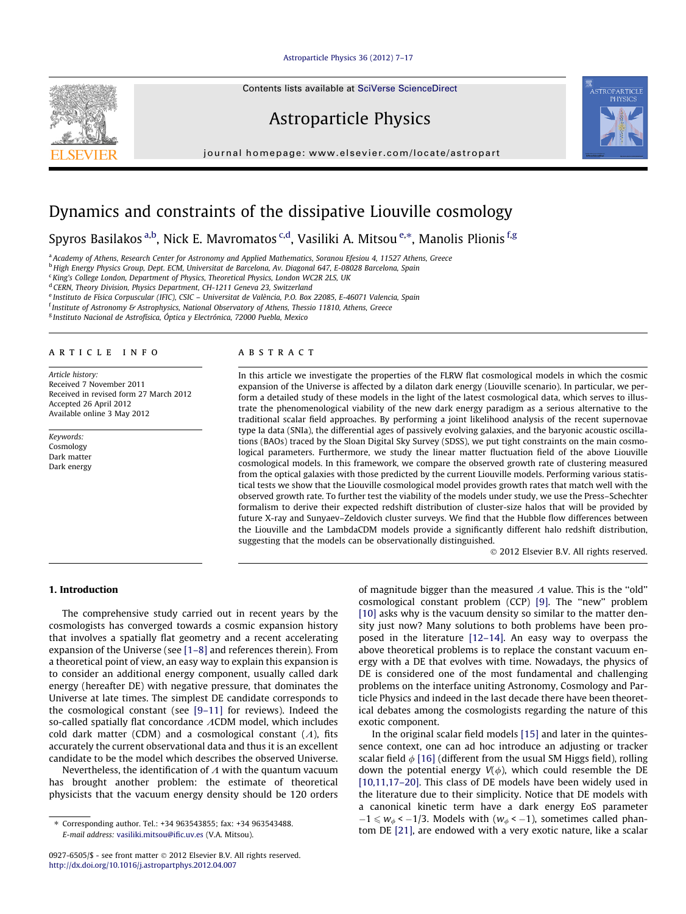[Astroparticle Physics 36 \(2012\) 7–17](http://dx.doi.org/10.1016/j.astropartphys.2012.04.007)

Contents lists available at [SciVerse ScienceDirect](http://www.sciencedirect.com/science/journal/09276505)

# Astroparticle Physics

journal homepage: [www.elsevier.com/locate/astropart](http://www.elsevier.com/locate/astropart)



# Dynamics and constraints of the dissipative Liouville cosmology

Spyros Basilakos <sup>a,b</sup>, Nick E. Mavromatos <sup>c,d</sup>, Vasiliki A. Mitsou <sup>e,</sup>\*, Manolis Plionis <sup>f,g</sup>

a Academy of Athens, Research Center for Astronomy and Applied Mathematics, Soranou Efesiou 4, 11527 Athens, Greece

<sup>b</sup> High Energy Physics Group, Dept. ECM, Universitat de Barcelona, Av. Diagonal 647, E-08028 Barcelona, Spain

<sup>c</sup> King's College London, Department of Physics, Theoretical Physics, London WC2R 2LS, UK

<sup>d</sup> CERN, Theory Division, Physics Department, CH-1211 Geneva 23, Switzerland

e Instituto de Física Corpuscular (IFIC), CSIC - Universitat de València, P.O. Box 22085, E-46071 Valencia, Spain

<sup>f</sup> Institute of Astronomy & Astrophysics, National Observatory of Athens, Thessio 11810, Athens, Greece

<sup>g</sup> Instituto Nacional de Astrofísica, Óptica y Electrónica, 72000 Puebla, Mexico

# article info

Article history: Received 7 November 2011 Received in revised form 27 March 2012 Accepted 26 April 2012 Available online 3 May 2012

Keywords: Cosmology Dark matter Dark energy

## **ABSTRACT**

In this article we investigate the properties of the FLRW flat cosmological models in which the cosmic expansion of the Universe is affected by a dilaton dark energy (Liouville scenario). In particular, we perform a detailed study of these models in the light of the latest cosmological data, which serves to illustrate the phenomenological viability of the new dark energy paradigm as a serious alternative to the traditional scalar field approaches. By performing a joint likelihood analysis of the recent supernovae type Ia data (SNIa), the differential ages of passively evolving galaxies, and the baryonic acoustic oscillations (BAOs) traced by the Sloan Digital Sky Survey (SDSS), we put tight constraints on the main cosmological parameters. Furthermore, we study the linear matter fluctuation field of the above Liouville cosmological models. In this framework, we compare the observed growth rate of clustering measured from the optical galaxies with those predicted by the current Liouville models. Performing various statistical tests we show that the Liouville cosmological model provides growth rates that match well with the observed growth rate. To further test the viability of the models under study, we use the Press–Schechter formalism to derive their expected redshift distribution of cluster-size halos that will be provided by future X-ray and Sunyaev–Zeldovich cluster surveys. We find that the Hubble flow differences between the Liouville and the LambdaCDM models provide a significantly different halo redshift distribution, suggesting that the models can be observationally distinguished.

- 2012 Elsevier B.V. All rights reserved.

## 1. Introduction

The comprehensive study carried out in recent years by the cosmologists has converged towards a cosmic expansion history that involves a spatially flat geometry and a recent accelerating expansion of the Universe (see [\[1–8\]](#page-9-0) and references therein). From a theoretical point of view, an easy way to explain this expansion is to consider an additional energy component, usually called dark energy (hereafter DE) with negative pressure, that dominates the Universe at late times. The simplest DE candidate corresponds to the cosmological constant (see [\[9–11\]](#page-9-0) for reviews). Indeed the so-called spatially flat concordance  $\Lambda$ CDM model, which includes cold dark matter (CDM) and a cosmological constant  $(A)$ , fits accurately the current observational data and thus it is an excellent candidate to be the model which describes the observed Universe.

Nevertheless, the identification of  $\Lambda$  with the quantum vacuum has brought another problem: the estimate of theoretical physicists that the vacuum energy density should be 120 orders of magnitude bigger than the measured  $\Lambda$  value. This is the "old" cosmological constant problem (CCP) [\[9\]](#page-9-0). The ''new'' problem [\[10\]](#page-9-0) asks why is the vacuum density so similar to the matter density just now? Many solutions to both problems have been proposed in the literature [\[12–14\]](#page-9-0). An easy way to overpass the above theoretical problems is to replace the constant vacuum energy with a DE that evolves with time. Nowadays, the physics of DE is considered one of the most fundamental and challenging problems on the interface uniting Astronomy, Cosmology and Particle Physics and indeed in the last decade there have been theoretical debates among the cosmologists regarding the nature of this exotic component.

In the original scalar field models [\[15\]](#page-9-0) and later in the quintessence context, one can ad hoc introduce an adjusting or tracker scalar field  $\phi$  [\[16\]](#page-9-0) (different from the usual SM Higgs field), rolling down the potential energy  $V(\phi)$ , which could resemble the DE [\[10,11,17–20\].](#page-9-0) This class of DE models have been widely used in the literature due to their simplicity. Notice that DE models with a canonical kinetic term have a dark energy EoS parameter  $-1 \leq w_{\phi} < -1/3$ . Models with  $(w_{\phi} < -1)$ , sometimes called phantom DE [\[21\]](#page-9-0), are endowed with a very exotic nature, like a scalar

<sup>⇑</sup> Corresponding author. Tel.: +34 963543855; fax: +34 963543488. E-mail address: [vasiliki.mitsou@ific.uv.es](mailto:vasiliki.mitsou@ific.uv.es) (V.A. Mitsou).

<sup>0927-6505/\$ -</sup> see front matter © 2012 Elsevier B.V. All rights reserved. <http://dx.doi.org/10.1016/j.astropartphys.2012.04.007>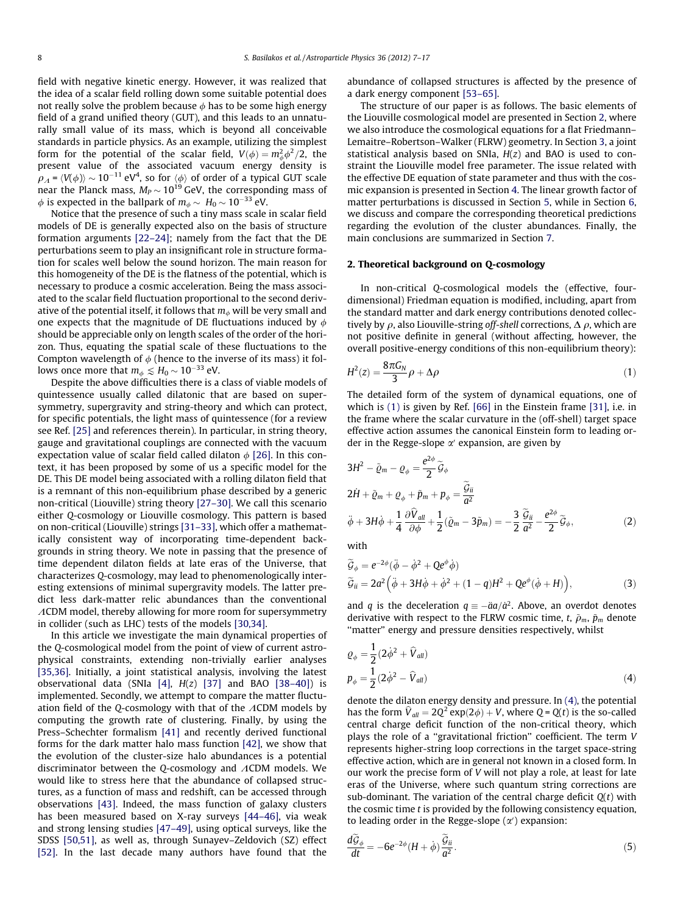<span id="page-1-0"></span>field with negative kinetic energy. However, it was realized that the idea of a scalar field rolling down some suitable potential does not really solve the problem because  $\phi$  has to be some high energy field of a grand unified theory (GUT), and this leads to an unnaturally small value of its mass, which is beyond all conceivable standards in particle physics. As an example, utilizing the simplest form for the potential of the scalar field,  $V(\phi) = m_\phi^2 \phi^2/2$ , the present value of the associated vacuum energy density is  $\rho_{\cal A}$  =  $\langle V\!(\phi)\rangle$   $\sim$   $10^{-11}$  eV $^4$ , so for  $\langle\phi\rangle$  of order of a typical GUT scale near the Planck mass,  $M_P$   $\sim$  10<sup>19</sup> GeV, the corresponding mass of  $\phi$  is expected in the ballpark of  $m_\phi \sim\, H_0 \sim 10^{-33}$  eV.

Notice that the presence of such a tiny mass scale in scalar field models of DE is generally expected also on the basis of structure formation arguments [\[22–24\]](#page-9-0); namely from the fact that the DE perturbations seem to play an insignificant role in structure formation for scales well below the sound horizon. The main reason for this homogeneity of the DE is the flatness of the potential, which is necessary to produce a cosmic acceleration. Being the mass associated to the scalar field fluctuation proportional to the second derivative of the potential itself, it follows that  $m_{\phi}$  will be very small and one expects that the magnitude of DE fluctuations induced by  $\phi$ should be appreciable only on length scales of the order of the horizon. Thus, equating the spatial scale of these fluctuations to the Compton wavelength of  $\phi$  (hence to the inverse of its mass) it follows once more that  $m_\phi \lesssim H_0 \sim 10^{-33}$  eV.

Despite the above difficulties there is a class of viable models of quintessence usually called dilatonic that are based on supersymmetry, supergravity and string-theory and which can protect, for specific potentials, the light mass of quintessence (for a review see Ref. [\[25\]](#page-9-0) and references therein). In particular, in string theory, gauge and gravitational couplings are connected with the vacuum expectation value of scalar field called dilaton  $\phi$  [\[26\]](#page-10-0). In this context, it has been proposed by some of us a specific model for the DE. This DE model being associated with a rolling dilaton field that is a remnant of this non-equilibrium phase described by a generic non-critical (Liouville) string theory [\[27–30\].](#page-10-0) We call this scenario either Q-cosmology or Liouville cosmology. This pattern is based on non-critical (Liouville) strings [\[31–33\],](#page-10-0) which offer a mathematically consistent way of incorporating time-dependent backgrounds in string theory. We note in passing that the presence of time dependent dilaton fields at late eras of the Universe, that characterizes Q-cosmology, may lead to phenomenologically interesting extensions of minimal supergravity models. The latter predict less dark-matter relic abundances than the conventional  $\Lambda$ CDM model, thereby allowing for more room for supersymmetry in collider (such as LHC) tests of the models [\[30,34\]](#page-10-0).

In this article we investigate the main dynamical properties of the Q-cosmological model from the point of view of current astrophysical constraints, extending non-trivially earlier analyses [\[35,36\].](#page-10-0) Initially, a joint statistical analysis, involving the latest observational data (SNIa [\[4\],](#page-9-0)  $H(z)$  [\[37\]](#page-10-0) and BAO [38-40]) is implemented. Secondly, we attempt to compare the matter fluctuation field of the Q-cosmology with that of the  $\Lambda$ CDM models by computing the growth rate of clustering. Finally, by using the Press–Schechter formalism [\[41\]](#page-10-0) and recently derived functional forms for the dark matter halo mass function [\[42\]](#page-10-0), we show that the evolution of the cluster-size halo abundances is a potential discriminator between the Q-cosmology and  $\Lambda$ CDM models. We would like to stress here that the abundance of collapsed structures, as a function of mass and redshift, can be accessed through observations [\[43\]](#page-10-0). Indeed, the mass function of galaxy clusters has been measured based on X-ray surveys [\[44–46\]](#page-10-0), via weak and strong lensing studies [\[47–49\],](#page-10-0) using optical surveys, like the SDSS [\[50,51\]](#page-10-0), as well as, through Sunayev–Zeldovich (SZ) effect [\[52\]](#page-10-0). In the last decade many authors have found that the

abundance of collapsed structures is affected by the presence of a dark energy component [\[53–65\].](#page-10-0)

The structure of our paper is as follows. The basic elements of the Liouville cosmological model are presented in Section 2, where we also introduce the cosmological equations for a flat Friedmann– Lemaitre–Robertson–Walker (FLRW) geometry. In Section [3](#page-2-0), a joint statistical analysis based on SNIa,  $H(z)$  and BAO is used to constraint the Liouville model free parameter. The issue related with the effective DE equation of state parameter and thus with the cosmic expansion is presented in Section [4](#page-3-0). The linear growth factor of matter perturbations is discussed in Section [5](#page-5-0), while in Section [6,](#page-7-0) we discuss and compare the corresponding theoretical predictions regarding the evolution of the cluster abundances. Finally, the main conclusions are summarized in Section [7](#page-8-0).

## 2. Theoretical background on Q-cosmology

In non-critical Q-cosmological models the (effective, fourdimensional) Friedman equation is modified, including, apart from the standard matter and dark energy contributions denoted collectively by  $\rho$ , also Liouville-string off-shell corrections,  $\Delta \rho$ , which are not positive definite in general (without affecting, however, the overall positive-energy conditions of this non-equilibrium theory):

$$
H^2(z) = \frac{8\pi G_N}{3}\rho + \Delta\rho \tag{1}
$$

The detailed form of the system of dynamical equations, one of which is (1) is given by Ref. [\[66\]](#page-10-0) in the Einstein frame [\[31\]](#page-10-0), i.e. in the frame where the scalar curvature in the (off-shell) target space effective action assumes the canonical Einstein form to leading order in the Regge-slope  $\alpha'$  expansion, are given by

$$
3H^{2} - \tilde{\varrho}_{m} - \varrho_{\phi} = \frac{e^{2\phi}}{2} \tilde{\mathcal{G}}_{\phi}
$$
  
\n
$$
2\dot{H} + \tilde{\varrho}_{m} + \varrho_{\phi} + \tilde{p}_{m} + p_{\phi} = \frac{\tilde{\mathcal{G}}_{ii}}{\tilde{a}^{2}}
$$
  
\n
$$
\ddot{\phi} + 3H\dot{\phi} + \frac{1}{4}\frac{\partial \hat{V}_{all}}{\partial \phi} + \frac{1}{2}(\tilde{\varrho}_{m} - 3\tilde{p}_{m}) = -\frac{3}{2}\frac{\tilde{\mathcal{G}}_{ii}}{\tilde{a}^{2}} - \frac{e^{2\phi}}{2}\tilde{\mathcal{G}}_{\phi},
$$
\n(2)

with

$$
\widetilde{G}_{\phi} = e^{-2\phi}(\ddot{\phi} - \dot{\phi}^2 + Qe^{\phi}\dot{\phi})
$$
  
\n
$$
\widetilde{G}_{ii} = 2a^2(\ddot{\phi} + 3H\dot{\phi} + \dot{\phi}^2 + (1 - q)H^2 + Qe^{\phi}(\dot{\phi} + H)),
$$
\n(3)

and q is the deceleration  $q \equiv -\ddot{a}a/\dot{a}^2$ . Above, an overdot denotes derivative with respect to the FLRW cosmic time, t,  $\tilde{\rho}_m$ ,  $\tilde{p}_m$  denote "matter" energy and pressure densities respectively, whilst

$$
Q_{\phi} = \frac{1}{2} (2\dot{\phi}^2 + \hat{V}_{all})
$$
  
\n
$$
p_{\phi} = \frac{1}{2} (2\dot{\phi}^2 - \hat{V}_{all})
$$
\n(4)

denote the dilaton energy density and pressure. In (4), the potential has the form  $\hat{V}_{all} = 2Q^2 \exp(2\phi) + V$ , where  $Q = Q(t)$  is the so-called central charge deficit function of the non-critical theory, which plays the role of a ''gravitational friction'' coefficient. The term V represents higher-string loop corrections in the target space-string effective action, which are in general not known in a closed form. In our work the precise form of V will not play a role, at least for late eras of the Universe, where such quantum string corrections are sub-dominant. The variation of the central charge deficit  $Q(t)$  with the cosmic time  $t$  is provided by the following consistency equation, to leading order in the Regge-slope  $(\alpha')$  expansion:

$$
\frac{d\mathcal{G}_{\phi}}{dt} = -6e^{-2\phi}(H+\dot{\phi})\frac{\mathcal{G}_{ii}}{a^2}.
$$
\n(5)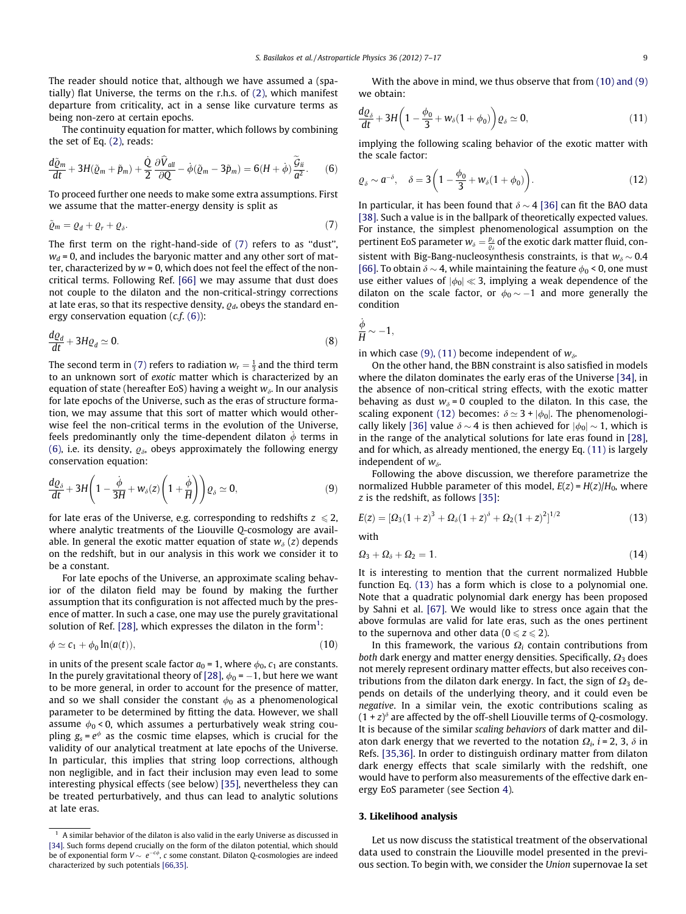<span id="page-2-0"></span>The reader should notice that, although we have assumed a (spatially) flat Universe, the terms on the r.h.s. of [\(2\)](#page-1-0), which manifest departure from criticality, act in a sense like curvature terms as being non-zero at certain epochs.

The continuity equation for matter, which follows by combining the set of Eq. [\(2\),](#page-1-0) reads:

$$
\frac{d\tilde{\varrho}_m}{dt} + 3H(\tilde{\varrho}_m + \tilde{p}_m) + \frac{\dot{Q}}{2} \frac{\partial \hat{V}_{all}}{\partial Q} - \dot{\phi}(\tilde{\varrho}_m - 3\tilde{p}_m) = 6(H + \dot{\phi})\frac{\tilde{G}_{ii}}{a^2}.
$$
 (6)

To proceed further one needs to make some extra assumptions. First we assume that the matter-energy density is split as

$$
\tilde{\varrho}_m = \varrho_d + \varrho_r + \varrho_\delta. \tag{7}
$$

The first term on the right-hand-side of (7) refers to as ''dust'',  $w_d$  = 0, and includes the baryonic matter and any other sort of matter, characterized by  $w = 0$ , which does not feel the effect of the noncritical terms. Following Ref. [\[66\]](#page-10-0) we may assume that dust does not couple to the dilaton and the non-critical-stringy corrections at late eras, so that its respective density,  $q_d$ , obeys the standard energy conservation equation  $(c.f. (6))$ :

$$
\frac{dQ_d}{dt} + 3HQ_d \simeq 0. \tag{8}
$$

The second term in (7) refers to radiation  $w_r = \frac{1}{3}$  and the third term to an unknown sort of exotic matter which is characterized by an equation of state (hereafter EoS) having a weight  $w_{\delta}$ . In our analysis for late epochs of the Universe, such as the eras of structure formation, we may assume that this sort of matter which would otherwise feel the non-critical terms in the evolution of the Universe, feels predominantly only the time-dependent dilaton  $\phi$  terms in (6), i.e. its density,  $\varrho_{\delta}$ , obeys approximately the following energy conservation equation:

$$
\frac{d\varrho_{\delta}}{dt} + 3H\bigg(1 - \frac{\dot{\phi}}{3H} + w_{\delta}(z)\bigg(1 + \frac{\dot{\phi}}{H}\bigg)\bigg)\varrho_{\delta} \simeq 0, \tag{9}
$$

for late eras of the Universe, e.g. corresponding to redshifts  $z \le 2$ , where analytic treatments of the Liouville Q-cosmology are available. In general the exotic matter equation of state  $w_{\delta}(z)$  depends on the redshift, but in our analysis in this work we consider it to be a constant.

For late epochs of the Universe, an approximate scaling behavior of the dilaton field may be found by making the further assumption that its configuration is not affected much by the presence of matter. In such a case, one may use the purely gravitational solution of Ref. [\[28\],](#page-10-0) which expresses the dilaton in the form<sup>1</sup>:

$$
\phi \simeq c_1 + \phi_0 \ln(a(t)),\tag{10}
$$

in units of the present scale factor  $a_0 = 1$ , where  $\phi_0$ ,  $c_1$  are constants. In the purely gravitational theory of [\[28\]](#page-10-0),  $\phi_{0}$  =  $-1$ , but here we want to be more general, in order to account for the presence of matter, and so we shall consider the constant  $\phi_0$  as a phenomenological parameter to be determined by fitting the data. However, we shall assume  $\phi_0$  < 0, which assumes a perturbatively weak string coupling  $g_s = e^{\phi}$  as the cosmic time elapses, which is crucial for the validity of our analytical treatment at late epochs of the Universe. In particular, this implies that string loop corrections, although non negligible, and in fact their inclusion may even lead to some interesting physical effects (see below) [\[35\]](#page-10-0), nevertheless they can be treated perturbatively, and thus can lead to analytic solutions at late eras.

With the above in mind, we thus observe that from (10) and (9) we obtain:

$$
\frac{d\varrho_{\delta}}{dt} + 3H\bigg(1 - \frac{\phi_0}{3} + w_{\delta}(1 + \phi_0)\bigg)\varrho_{\delta} \simeq 0, \qquad (11)
$$

implying the following scaling behavior of the exotic matter with the scale factor:

$$
\varrho_{\delta} \sim a^{-\delta}, \quad \delta = 3\left(1 - \frac{\phi_0}{3} + w_{\delta}(1 + \phi_0)\right). \tag{12}
$$

In particular, it has been found that  $\delta \sim 4$  [\[36\]](#page-10-0) can fit the BAO data [\[38\].](#page-10-0) Such a value is in the ballpark of theoretically expected values. For instance, the simplest phenomenological assumption on the pertinent EoS parameter  $w_\delta=\frac{p_\delta}{\varrho_\delta}$  of the exotic dark matter fluid, consistent with Big-Bang-nucleosynthesis constraints, is that  $w_{\delta} \sim 0.4$ [\[66\].](#page-10-0) To obtain  $\delta \sim 4$ , while maintaining the feature  $\phi_0$  < 0, one must use either values of  $|\phi_0| \ll 3$ , implying a weak dependence of the dilaton on the scale factor, or  $\phi_{0} \sim -1$  and more generally the condition

$$
\frac{\dot{\phi}}{H} \sim -1,
$$

in which case (9), (11) become independent of  $w_{\delta}$ .

On the other hand, the BBN constraint is also satisfied in models where the dilaton dominates the early eras of the Universe [\[34\]](#page-10-0), in the absence of non-critical string effects, with the exotic matter behaving as dust  $w_{\delta} = 0$  coupled to the dilaton. In this case, the scaling exponent (12) becomes:  $\delta \simeq 3 + |\phi_0|$ . The phenomenologi-cally likely [\[36\]](#page-10-0) value  $\delta \sim 4$  is then achieved for  $|\phi_0| \sim 1$ , which is in the range of the analytical solutions for late eras found in [\[28\],](#page-10-0) and for which, as already mentioned, the energy Eq. (11) is largely independent of  $w_{\delta}$ .

Following the above discussion, we therefore parametrize the normalized Hubble parameter of this model,  $E(z) = H(z)/H_0$ , where  $z$  is the redshift, as follows [\[35\]](#page-10-0):

$$
E(z) = [\Omega_3(1+z)^3 + \Omega_\delta(1+z)^{\delta} + \Omega_2(1+z)^2]^{1/2}
$$
\n(13)

with

$$
\Omega_3 + \Omega_\delta + \Omega_2 = 1. \tag{14}
$$

It is interesting to mention that the current normalized Hubble function Eq. (13) has a form which is close to a polynomial one. Note that a quadratic polynomial dark energy has been proposed by Sahni et al. [\[67\]](#page-10-0). We would like to stress once again that the above formulas are valid for late eras, such as the ones pertinent to the supernova and other data ( $0 \le z \le 2$ ).

In this framework, the various  $\Omega_i$  contain contributions from both dark energy and matter energy densities. Specifically,  $\Omega_3$  does not merely represent ordinary matter effects, but also receives contributions from the dilaton dark energy. In fact, the sign of  $\Omega_3$  depends on details of the underlying theory, and it could even be negative. In a similar vein, the exotic contributions scaling as  $(1 + z)^{\delta}$  are affected by the off-shell Liouville terms of Q-cosmology. It is because of the similar scaling behaviors of dark matter and dilaton dark energy that we reverted to the notation  $\Omega_i$ , *i* = 2, 3,  $\delta$  in Refs. [\[35,36\].](#page-10-0) In order to distinguish ordinary matter from dilaton dark energy effects that scale similarly with the redshift, one would have to perform also measurements of the effective dark energy EoS parameter (see Section [4](#page-3-0)).

## 3. Likelihood analysis

Let us now discuss the statistical treatment of the observational data used to constrain the Liouville model presented in the previous section. To begin with, we consider the Union supernovae Ia set

 $1$  A similar behavior of the dilaton is also valid in the early Universe as discussed in [\[34\].](#page-10-0) Such forms depend crucially on the form of the dilaton potential, which should be of exponential form  $V \sim e^{-c\phi}$ , c some constant. Dilaton Q-cosmologies are indeed characterized by such potentials [\[66,35\].](#page-10-0)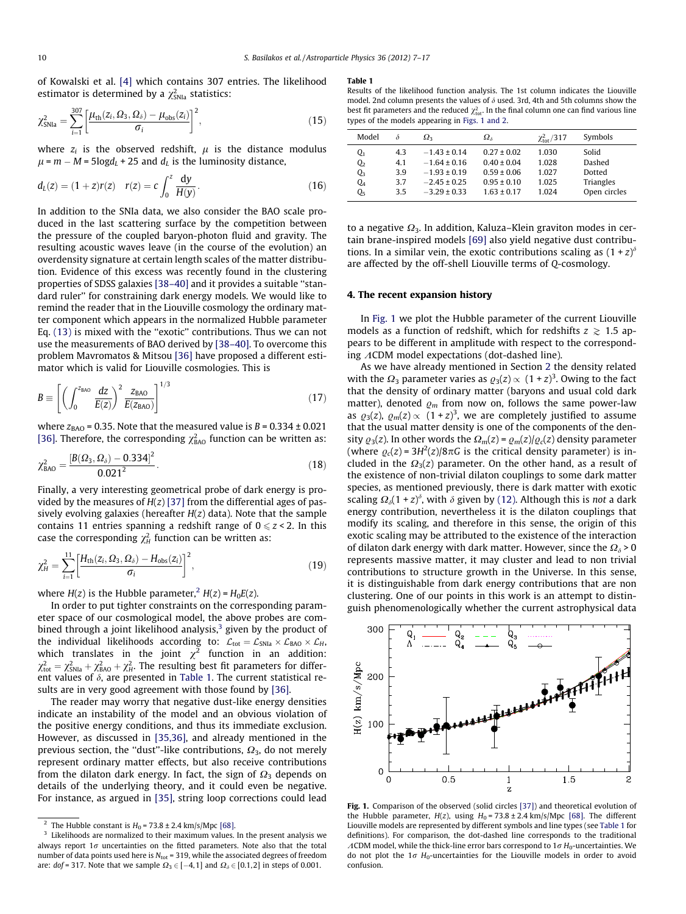<span id="page-3-0"></span>of Kowalski et al. [\[4\]](#page-9-0) which contains 307 entries. The likelihood estimator is determined by a  $\chi^2_{\rm SNIa}$  statistics:

$$
\chi_{\text{SNIa}}^2 = \sum_{i=1}^{307} \left[ \frac{\mu_{\text{th}}(z_i, \Omega_3, \Omega_\delta) - \mu_{\text{obs}}(z_i)}{\sigma_i} \right]^2, \tag{15}
$$

where  $z_i$  is the observed redshift,  $\mu$  is the distance modulus  $\mu$  =  $m - M$  = 5log $d_L$  + 25 and  $d_L$  is the luminosity distance,

$$
d_L(z) = (1+z)r(z) \quad r(z) = c \int_0^z \frac{dy}{H(y)}.
$$
 (16)

In addition to the SNIa data, we also consider the BAO scale produced in the last scattering surface by the competition between the pressure of the coupled baryon-photon fluid and gravity. The resulting acoustic waves leave (in the course of the evolution) an overdensity signature at certain length scales of the matter distribution. Evidence of this excess was recently found in the clustering properties of SDSS galaxies [\[38–40\]](#page-10-0) and it provides a suitable ''standard ruler'' for constraining dark energy models. We would like to remind the reader that in the Liouville cosmology the ordinary matter component which appears in the normalized Hubble parameter Eq. [\(13\)](#page-2-0) is mixed with the ''exotic'' contributions. Thus we can not use the measurements of BAO derived by [\[38–40\]](#page-10-0). To overcome this problem Mavromatos & Mitsou [\[36\]](#page-10-0) have proposed a different estimator which is valid for Liouville cosmologies. This is

$$
B \equiv \left[ \left( \int_0^{z_{BAO}} \frac{dz}{E(z)} \right)^2 \frac{z_{BAO}}{E(z_{BAO})} \right]^{1/3} \tag{17}
$$

where  $z<sub>BAO</sub>$  = 0.35. Note that the measured value is  $B$  = 0.334  $\pm$  0.021 [\[36\].](#page-10-0) Therefore, the corresponding  $\chi^2_{BAO}$  function can be written as:

$$
\chi_{BAO}^2 = \frac{[B(\Omega_3, \Omega_\delta) - 0.334]^2}{0.021^2}.
$$
\n(18)

Finally, a very interesting geometrical probe of dark energy is provided by the measures of  $H(z)$  [\[37\]](#page-10-0) from the differential ages of passively evolving galaxies (hereafter  $H(z)$  data). Note that the sample contains 11 entries spanning a redshift range of  $0 \le z < 2$ . In this case the corresponding  $\chi^2_H$  function can be written as:

$$
\chi_{H}^{2} = \sum_{i=1}^{11} \left[ \frac{H_{\text{th}}(z_{i}, \Omega_{3}, \Omega_{\delta}) - H_{\text{obs}}(z_{i})}{\sigma_{i}} \right]^{2}, \tag{19}
$$

where  $H(z)$  is the Hubble parameter,<sup>2</sup>  $H(z) = H_0E(z)$ .

In order to put tighter constraints on the corresponding parameter space of our cosmological model, the above probes are combined through a joint likelihood analysis, $3$  given by the product of the individual likelihoods according to:  $\mathcal{L}_{\text{tot}} = \mathcal{L}_{\text{SNIa}} \times \mathcal{L}_{\text{BAO}} \times \mathcal{L}_{H}$ , which translates in the joint  $\chi^2$  function in an addition:  $\chi^2_{\text{tot}} = \chi^2_{\text{SNIa}} + \chi^2_{\text{BAO}} + \chi^2_{\text{H}}$ . The resulting best fit parameters for different values of  $\delta$ , are presented in Table 1. The current statistical results are in very good agreement with those found by [\[36\].](#page-10-0)

The reader may worry that negative dust-like energy densities indicate an instability of the model and an obvious violation of the positive energy conditions, and thus its immediate exclusion. However, as discussed in [\[35,36\]](#page-10-0), and already mentioned in the previous section, the "dust"-like contributions,  $\Omega_3$ , do not merely represent ordinary matter effects, but also receive contributions from the dilaton dark energy. In fact, the sign of  $\Omega_3$  depends on details of the underlying theory, and it could even be negative. For instance, as argued in [\[35\],](#page-10-0) string loop corrections could lead

#### Table 1

Results of the likelihood function analysis. The 1st column indicates the Liouville model. 2nd column presents the values of  $\delta$  used. 3rd, 4th and 5th columns show the best fit parameters and the reduced  $\chi^2_{\text{tot}}$ . In the final column one can find various line types of the models appearing in Figs. 1 and 2.

| Model                                        | δ                        | $\Omega_{3}$                                                                 | $\Omega_{\delta}$                                                        | $\chi^2_{\rm tot}/317$           | Symbols                                |
|----------------------------------------------|--------------------------|------------------------------------------------------------------------------|--------------------------------------------------------------------------|----------------------------------|----------------------------------------|
| Q1<br>Q <sub>2</sub><br>Q3<br>Q <sub>4</sub> | 4.3<br>4.1<br>3.9<br>3.7 | $-1.43 \pm 0.14$<br>$-1.64 \pm 0.16$<br>$-1.93 \pm 0.19$<br>$-2.45 \pm 0.25$ | $0.27 \pm 0.02$<br>$0.40 \pm 0.04$<br>$0.59 \pm 0.06$<br>$0.95 \pm 0.10$ | 1.030<br>1.028<br>1.027<br>1.025 | Solid<br>Dashed<br>Dotted<br>Triangles |
| О,                                           | 3.5                      | $-3.29 \pm 0.33$                                                             | $1.63 \pm 0.17$                                                          | 1.024                            | Open circles                           |

to a negative  $\Omega_3$ . In addition, Kaluza–Klein graviton modes in certain brane-inspired models [\[69\]](#page-10-0) also yield negative dust contributions. In a similar vein, the exotic contributions scaling as  $(1 + z)^{\delta}$ are affected by the off-shell Liouville terms of Q-cosmology.

#### 4. The recent expansion history

In Fig. 1 we plot the Hubble parameter of the current Liouville models as a function of redshift, which for redshifts  $z \geq 1.5$  appears to be different in amplitude with respect to the corresponding  $\Lambda$ CDM model expectations (dot-dashed line).

As we have already mentioned in Section [2](#page-1-0) the density related with the  $\Omega_3$  parameter varies as  $\varrho_3(z) \propto (1 + z)^3$ . Owing to the fact that the density of ordinary matter (baryons and usual cold dark matter), denoted  $\rho_m$  from now on, follows the same power-law as  $\varrho_3(z)$ ,  $\varrho_m(z) \propto (1 + z)^3$ , we are completely justified to assume that the usual matter density is one of the components of the density  $\varrho_3(z)$ . In other words the  $\Omega_m(z) = \varrho_m(z)/\varrho_c(z)$  density parameter (where  $\varrho_c(z) = 3H^2(z)/8\pi G$  is the critical density parameter) is included in the  $\Omega_3(z)$  parameter. On the other hand, as a result of the existence of non-trivial dilaton couplings to some dark matter species, as mentioned previously, there is dark matter with exotic scaling  $\Omega_{\delta}(1 + z)^{\delta}$ , with  $\delta$  given by [\(12\).](#page-2-0) Although this is not a dark energy contribution, nevertheless it is the dilaton couplings that modify its scaling, and therefore in this sense, the origin of this exotic scaling may be attributed to the existence of the interaction of dilaton dark energy with dark matter. However, since the  $\Omega_{\delta}$  > 0 represents massive matter, it may cluster and lead to non trivial contributions to structure growth in the Universe. In this sense, it is distinguishable from dark energy contributions that are non clustering. One of our points in this work is an attempt to distinguish phenomenologically whether the current astrophysical data



Fig. 1. Comparison of the observed (solid circles [\[37\]\)](#page-10-0) and theoretical evolution of the Hubble parameter,  $H(z)$ , using  $H_0 = 73.8 \pm 2.4$  km/s/Mpc [\[68\].](#page-10-0) The different Liouville models are represented by different symbols and line types (see Table 1 for definitions). For comparison, the dot-dashed line corresponds to the traditional ACDM model, while the thick-line error bars correspond to  $1\sigma$  H<sub>0</sub>-uncertainties. We do not plot the  $1\sigma$  H<sub>0</sub>-uncertainties for the Liouville models in order to avoid confusion.

<sup>&</sup>lt;sup>2</sup> The Hubble constant is  $H_0$  = 73.8 ± 2.4 km/s/Mpc [\[68\]](#page-10-0).

 $3$  Likelihoods are normalized to their maximum values. In the present analysis we always report  $1\sigma$  uncertainties on the fitted parameters. Note also that the total number of data points used here is  $N_{\text{tot}}$  = 319, while the associated degrees of freedom are: dof = 317. Note that we sample  $\Omega_3$   $\in$  [–4,1] and  $\Omega_\delta$   $\in$  [0.1,2] in steps of 0.001.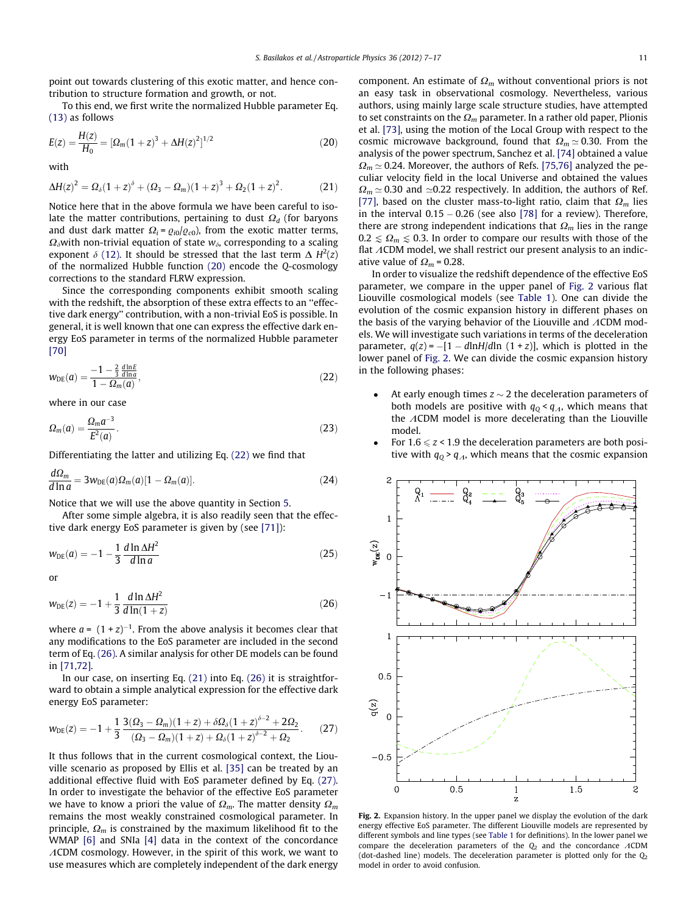<span id="page-4-0"></span>point out towards clustering of this exotic matter, and hence contribution to structure formation and growth, or not.

To this end, we first write the normalized Hubble parameter Eq. [\(13\)](#page-2-0) as follows

$$
E(z) = \frac{H(z)}{H_0} = [\Omega_m (1+z)^3 + \Delta H(z)^2]^{1/2}
$$
 (20)

with

$$
\Delta H(z)^2 = \Omega_\delta (1+z)^{\delta} + (\Omega_3 - \Omega_m)(1+z)^3 + \Omega_2 (1+z)^2.
$$
 (21)

Notice here that in the above formula we have been careful to isolate the matter contributions, pertaining to dust  $\Omega_d$  (for baryons and dust dark matter  $\Omega_i = \frac{q_{i0}}{q_{c0}}$ , from the exotic matter terms,  $\Omega_{\delta}$ with non-trivial equation of state  $w_{\delta}$ , corresponding to a scaling exponent  $\delta$  [\(12\).](#page-2-0) It should be stressed that the last term  $\Delta H^2(z)$ of the normalized Hubble function (20) encode the Q-cosmology corrections to the standard FLRW expression.

Since the corresponding components exhibit smooth scaling with the redshift, the absorption of these extra effects to an ''effective dark energy'' contribution, with a non-trivial EoS is possible. In general, it is well known that one can express the effective dark energy EoS parameter in terms of the normalized Hubble parameter [\[70\]](#page-10-0)

$$
w_{DE}(a) = \frac{-1 - \frac{2}{3} \frac{d \ln E}{d \ln a}}{1 - \Omega_m(a)},
$$
\n(22)

where in our case

$$
\Omega_m(a) = \frac{\Omega_m a^{-3}}{E^2(a)}.\tag{23}
$$

Differentiating the latter and utilizing Eq. (22) we find that

$$
\frac{d\Omega_m}{d\ln a} = 3w_{\text{DE}}(a)\Omega_m(a)[1 - \Omega_m(a)].\tag{24}
$$

Notice that we will use the above quantity in Section [5.](#page-5-0)

After some simple algebra, it is also readily seen that the effective dark energy EoS parameter is given by (see [\[71\]](#page-10-0)):

$$
w_{\text{DE}}(a) = -1 - \frac{1}{3} \frac{d \ln \Delta H^2}{d \ln a} \tag{25}
$$

or

$$
w_{DE}(z) = -1 + \frac{1}{3} \frac{d \ln \Delta H^2}{d \ln(1+z)}
$$
(26)

where  $a = (1 + z)^{-1}$ . From the above analysis it becomes clear that any modifications to the EoS parameter are included in the second term of Eq. (26). A similar analysis for other DE models can be found in [\[71,72\].](#page-10-0)

In our case, on inserting Eq. (21) into Eq. (26) it is straightforward to obtain a simple analytical expression for the effective dark energy EoS parameter:

$$
w_{DE}(z) = -1 + \frac{1}{3} \frac{3(\Omega_3 - \Omega_m)(1+z) + \delta \Omega_\delta (1+z)^{\delta - 2} + 2\Omega_2}{(\Omega_3 - \Omega_m)(1+z) + \Omega_\delta (1+z)^{\delta - 2} + \Omega_2}.
$$
 (27)

It thus follows that in the current cosmological context, the Liouville scenario as proposed by Ellis et al. [\[35\]](#page-10-0) can be treated by an additional effective fluid with EoS parameter defined by Eq. (27). In order to investigate the behavior of the effective EoS parameter we have to know a priori the value of  $\Omega_m$ . The matter density  $\Omega_m$ remains the most weakly constrained cosmological parameter. In principle,  $\Omega_m$  is constrained by the maximum likelihood fit to the WMAP [\[6\]](#page-9-0) and SNIa [\[4\]](#page-9-0) data in the context of the concordance  $\Lambda$ CDM cosmology. However, in the spirit of this work, we want to use measures which are completely independent of the dark energy

component. An estimate of  $\Omega_m$  without conventional priors is not an easy task in observational cosmology. Nevertheless, various authors, using mainly large scale structure studies, have attempted to set constraints on the  $\Omega_m$  parameter. In a rather old paper, Plionis et al. [\[73\],](#page-10-0) using the motion of the Local Group with respect to the cosmic microwave background, found that  $\Omega_m \simeq 0.30$ . From the analysis of the power spectrum, Sanchez et al. [\[74\]](#page-10-0) obtained a value  $\Omega_m \simeq 0.24$ . Moreover, the authors of Refs. [\[75,76\]](#page-10-0) analyzed the peculiar velocity field in the local Universe and obtained the values  $\Omega_m \simeq 0.30$  and  $\simeq 0.22$  respectively. In addition, the authors of Ref. [\[77\],](#page-10-0) based on the cluster mass-to-light ratio, claim that  $\Omega_m$  lies in the interval 0.15 – 0.26 (see also [\[78\]](#page-10-0) for a review). Therefore, there are strong independent indications that  $\Omega_m$  lies in the range  $0.2 \le \Omega_m \le 0.3$ . In order to compare our results with those of the flat  $\Lambda$ CDM model, we shall restrict our present analysis to an indicative value of  $\Omega_m$  = 0.28.

In order to visualize the redshift dependence of the effective EoS parameter, we compare in the upper panel of Fig. 2 various flat Liouville cosmological models (see [Table 1\)](#page-3-0). One can divide the evolution of the cosmic expansion history in different phases on the basis of the varying behavior of the Liouville and  $\Lambda$ CDM models. We will investigate such variations in terms of the deceleration parameter,  $q(z) = -[1 - d \ln H/d \ln (1 + z)]$ , which is plotted in the lower panel of Fig. 2. We can divide the cosmic expansion history in the following phases:

- At early enough times  $z \sim 2$  the deceleration parameters of both models are positive with  $q_{Q} < q_{A}$ , which means that the  $\Lambda$ CDM model is more decelerating than the Liouville model.
- For  $1.6 \leq z < 1.9$  the deceleration parameters are both positive with  $q_0$  >  $q_A$ , which means that the cosmic expansion



Fig. 2. Expansion history. In the upper panel we display the evolution of the dark energy effective EoS parameter. The different Liouville models are represented by different symbols and line types (see [Table 1](#page-3-0) for definitions). In the lower panel we compare the deceleration parameters of the  $Q_2$  and the concordance  $\Lambda$ CDM (dot-dashed line) models. The deceleration parameter is plotted only for the  $Q_2$ model in order to avoid confusion.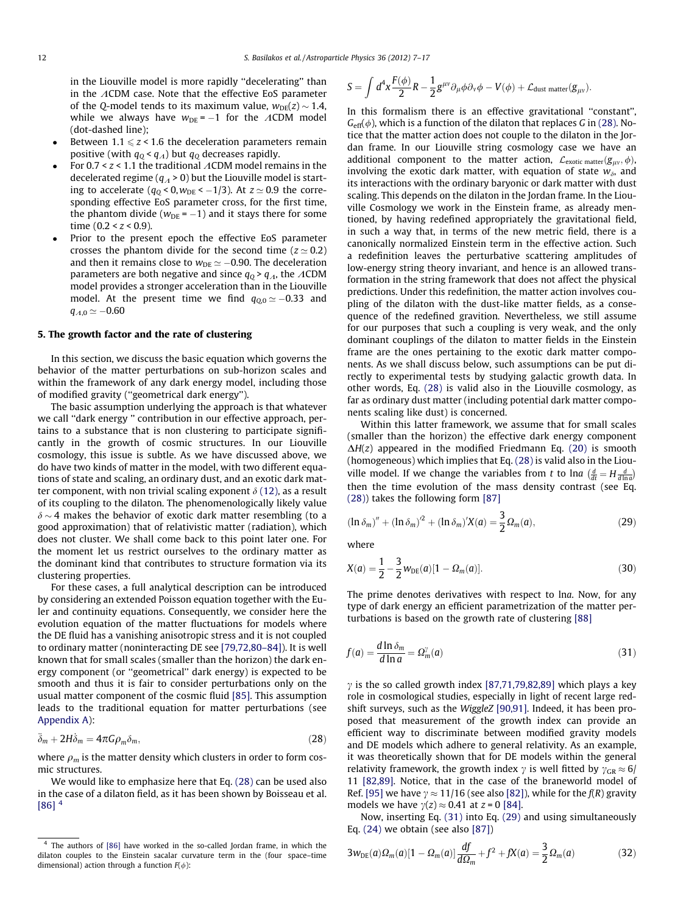<span id="page-5-0"></span>in the Liouville model is more rapidly ''decelerating'' than in the  $\Lambda$ CDM case. Note that the effective EoS parameter of the O-model tends to its maximum value,  $w_{DE}(z) \sim 1.4$ , while we always have  $w_{DE} = -1$  for the ACDM model (dot-dashed line);

- Between  $1.1 \leq z < 1.6$  the deceleration parameters remain positive (with  $q_0 < q_A$ ) but  $q_0$  decreases rapidly.
- For 0.7 <  $z$  < 1.1 the traditional  $\Lambda$ CDM model remains in the decelerated regime ( $q_A$  > 0) but the Liouville model is starting to accelerate ( $q_{\text{Q}}$  < 0, $w_{\text{DE}}$  < –1/3). At  $z$   $\simeq$  0.9 the corresponding effective EoS parameter cross, for the first time, the phantom divide ( $w_{\text{DE}}$  =  $-1$ ) and it stays there for some time  $(0.2 < z < 0.9)$ .
- Prior to the present epoch the effective EoS parameter crosses the phantom divide for the second time ( $z \approx 0.2$ ) and then it remains close to  $w_{\text{DE}} \simeq -0.90$ . The deceleration parameters are both negative and since  $q_0$  >  $q_A$ , the ACDM model provides a stronger acceleration than in the Liouville model. At the present time we find  $q_{\rm Q,0}\,{\simeq}\,{-}0.33$  and  $q_{\varLambda,0}\simeq -0.60$

## 5. The growth factor and the rate of clustering

In this section, we discuss the basic equation which governs the behavior of the matter perturbations on sub-horizon scales and within the framework of any dark energy model, including those of modified gravity (''geometrical dark energy'').

The basic assumption underlying the approach is that whatever we call ''dark energy '' contribution in our effective approach, pertains to a substance that is non clustering to participate significantly in the growth of cosmic structures. In our Liouville cosmology, this issue is subtle. As we have discussed above, we do have two kinds of matter in the model, with two different equations of state and scaling, an ordinary dust, and an exotic dark matter component, with non trivial scaling exponent  $\delta$  [\(12\)](#page-2-0), as a result of its coupling to the dilaton. The phenomenologically likely value  $\delta$  ~ 4 makes the behavior of exotic dark matter resembling (to a good approximation) that of relativistic matter (radiation), which does not cluster. We shall come back to this point later one. For the moment let us restrict ourselves to the ordinary matter as the dominant kind that contributes to structure formation via its clustering properties.

For these cases, a full analytical description can be introduced by considering an extended Poisson equation together with the Euler and continuity equations. Consequently, we consider here the evolution equation of the matter fluctuations for models where the DE fluid has a vanishing anisotropic stress and it is not coupled to ordinary matter (noninteracting DE see [\[79,72,80–84\]\)](#page-10-0). It is well known that for small scales (smaller than the horizon) the dark energy component (or ''geometrical'' dark energy) is expected to be smooth and thus it is fair to consider perturbations only on the usual matter component of the cosmic fluid [\[85\]](#page-10-0). This assumption leads to the traditional equation for matter perturbations (see [Appendix A\)](#page-8-0):

$$
\ddot{\delta}_m + 2H\dot{\delta}_m = 4\pi G\rho_m \delta_m, \qquad (28)
$$

where  $\rho_m$  is the matter density which clusters in order to form cosmic structures.

We would like to emphasize here that Eq. (28) can be used also in the case of a dilaton field, as it has been shown by Boisseau et al.  $[86]$ <sup>4</sup>

$$
S=\int d^4x \frac{F(\phi)}{2}R-\frac{1}{2}g^{\mu\nu}\partial_\mu\phi\partial_\nu\phi-V(\phi)+\mathcal{L}_{\text{dust matter}}(g_{\mu\nu}).
$$

In this formalism there is an effective gravitational ''constant'',  $G_{\text{eff}}(\phi)$ , which is a function of the dilaton that replaces G in (28). Notice that the matter action does not couple to the dilaton in the Jordan frame. In our Liouville string cosmology case we have an additional component to the matter action,  $\mathcal{L}_{\text{exotic matter}}(g_{\mu\nu}, \phi)$ , involving the exotic dark matter, with equation of state  $w_{\delta}$ , and its interactions with the ordinary baryonic or dark matter with dust scaling. This depends on the dilaton in the Jordan frame. In the Liouville Cosmology we work in the Einstein frame, as already mentioned, by having redefined appropriately the gravitational field, in such a way that, in terms of the new metric field, there is a canonically normalized Einstein term in the effective action. Such a redefinition leaves the perturbative scattering amplitudes of low-energy string theory invariant, and hence is an allowed transformation in the string framework that does not affect the physical predictions. Under this redefinition, the matter action involves coupling of the dilaton with the dust-like matter fields, as a consequence of the redefined gravition. Nevertheless, we still assume for our purposes that such a coupling is very weak, and the only dominant couplings of the dilaton to matter fields in the Einstein frame are the ones pertaining to the exotic dark matter components. As we shall discuss below, such assumptions can be put directly to experimental tests by studying galactic growth data. In other words, Eq. (28) is valid also in the Liouville cosmology, as far as ordinary dust matter (including potential dark matter components scaling like dust) is concerned.

Within this latter framework, we assume that for small scales (smaller than the horizon) the effective dark energy component  $\Delta H(z)$  appeared in the modified Friedmann Eq. [\(20\)](#page-4-0) is smooth (homogeneous) which implies that Eq. (28) is valid also in the Liouville model. If we change the variables from t to lna  $\left(\frac{d}{dt} = H \frac{d}{d \ln a}\right)$ then the time evolution of the mass density contrast (see Eq. (28)) takes the following form [\[87\]](#page-10-0)

$$
\left(\ln \delta_m\right)^{\prime\prime} + \left(\ln \delta_m\right)^{\prime 2} + \left(\ln \delta_m\right)^{\prime} X(a) = \frac{3}{2} \Omega_m(a),\tag{29}
$$

where

$$
X(a) = \frac{1}{2} - \frac{3}{2} w_{DE}(a) [1 - \Omega_m(a)].
$$
\n(30)

The prime denotes derivatives with respect to lna. Now, for any type of dark energy an efficient parametrization of the matter perturbations is based on the growth rate of clustering [\[88\]](#page-10-0)

$$
f(a) = \frac{d \ln \delta_m}{d \ln a} = \Omega_m^{\gamma}(a)
$$
\n(31)

 $\gamma$  is the so called growth index [\[87,71,79,82,89\]](#page-10-0) which plays a key role in cosmological studies, especially in light of recent large redshift surveys, such as the WiggleZ [\[90,91\].](#page-10-0) Indeed, it has been proposed that measurement of the growth index can provide an efficient way to discriminate between modified gravity models and DE models which adhere to general relativity. As an example, it was theoretically shown that for DE models within the general relativity framework, the growth index  $\gamma$  is well fitted by  $\gamma_{GR} \approx 6/$ 11 [\[82,89\].](#page-10-0) Notice, that in the case of the braneworld model of Ref. [\[95\]](#page-10-0) we have  $\gamma \approx 11/16$  (see also [\[82\]](#page-10-0)), while for the  $f(R)$  gravity models we have  $\gamma(z) \approx 0.41$  at  $z = 0$  [\[84\]](#page-10-0).

Now, inserting Eq. (31) into Eq. (29) and using simultaneously Eq. [\(24\)](#page-4-0) we obtain (see also [\[87\]\)](#page-10-0)

$$
3w_{DE}(a)\Omega_m(a)[1 - \Omega_m(a)]\frac{df}{d\Omega_m} + f^2 + fX(a) = \frac{3}{2}\Omega_m(a)
$$
 (32)

<sup>4</sup> The authors of [\[86\]](#page-10-0) have worked in the so-called Jordan frame, in which the dilaton couples to the Einstein sacalar curvature term in the (four space–time dimensional) action through a function  $F(\phi)$ :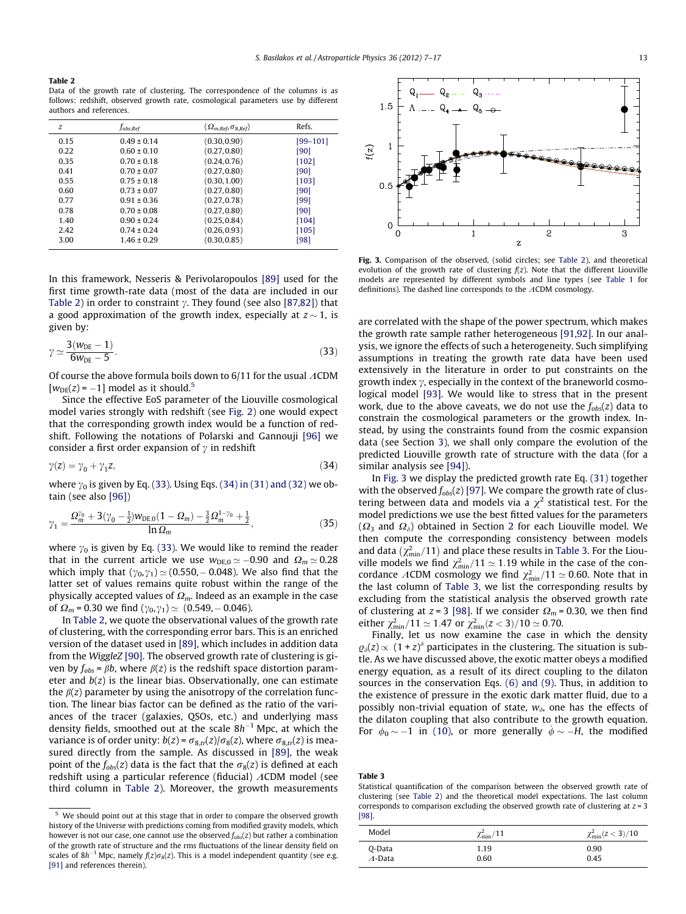Table 2

Data of the growth rate of clustering. The correspondence of the columns is as follows: redshift, observed growth rate, cosmological parameters use by different authors and references.

| z    | Jobs.Ref        | $(\Omega_{m,Ref}, \sigma_{8,Ref})$ | Refs.    |
|------|-----------------|------------------------------------|----------|
| 0.15 | $0.49 \pm 0.14$ | (0.30, 0.90)                       | [99–101] |
| 0.22 | $0.60 \pm 0.10$ | (0.27, 0.80)                       | [90]     |
| 0.35 | $0.70 \pm 0.18$ | (0.24, 0.76)                       | $[102]$  |
| 0.41 | $0.70 \pm 0.07$ | (0.27, 0.80)                       | [90]     |
| 0.55 | $0.75 \pm 0.18$ | (0.30, 1.00)                       | $[103]$  |
| 0.60 | $0.73 \pm 0.07$ | (0.27, 0.80)                       | [90]     |
| 0.77 | $0.91 \pm 0.36$ | (0.27, 0.78)                       | [99]     |
| 0.78 | $0.70 \pm 0.08$ | (0.27, 0.80)                       | [90]     |
| 1.40 | $0.90 \pm 0.24$ | (0.25, 0.84)                       | $[104]$  |
| 2.42 | $0.74 \pm 0.24$ | (0.26, 0.93)                       | [105]    |
| 3.00 | $1.46 \pm 0.29$ | (0.30, 0.85)                       | [98]     |
|      |                 |                                    |          |

In this framework, Nesseris & Perivolaropoulos [\[89\]](#page-10-0) used for the first time growth-rate data (most of the data are included in our Table 2) in order to constraint  $\gamma$ . They found (see also [\[87,82\]\)](#page-10-0) that a good approximation of the growth index, especially at  $z \sim 1$ , is given by:

$$
\gamma \simeq \frac{3(w_{\text{DE}} - 1)}{6w_{\text{DE}} - 5}.
$$
\n(33)

Of course the above formula boils down to  $6/11$  for the usual  $\Lambda$ CDM  $[w_{DE}(z) = -1]$  model as it should.<sup>5</sup>

Since the effective EoS parameter of the Liouville cosmological model varies strongly with redshift (see [Fig. 2\)](#page-4-0) one would expect that the corresponding growth index would be a function of redshift. Following the notations of Polarski and Gannouji [\[96\]](#page-10-0) we consider a first order expansion of  $\gamma$  in redshift

$$
\gamma(z) = \gamma_0 + \gamma_1 z,\tag{34}
$$

where  $\gamma_0$  is given by Eq. (33). Using Eqs. (34) in (31) and (32) we obtain (see also [\[96\]](#page-10-0))

$$
\gamma_1 = \frac{\Omega_m^{\gamma_0} + 3(\gamma_0 - \frac{1}{2})w_{\text{DE},0}(1 - \Omega_m) - \frac{3}{2}\Omega_m^{1 - \gamma_0} + \frac{1}{2}}{\ln \Omega_m},\tag{35}
$$

where  $y_0$  is given by Eq. (33). We would like to remind the reader that in the current article we use  $w_{DE,0} \simeq -0.90$  and  $\Omega_m \simeq 0.28$ which imply that  $(\gamma_0, \gamma_1) \simeq (0.550, -0.048)$ . We also find that the latter set of values remains quite robust within the range of the physically accepted values of  $\Omega_m$ . Indeed as an example in the case of  $\Omega_m$  = 0.30 we find  $(\gamma_0, \gamma_1) \simeq (0.549, -0.046)$ .

In Table 2, we quote the observational values of the growth rate of clustering, with the corresponding error bars. This is an enriched version of the dataset used in [\[89\],](#page-10-0) which includes in addition data from the WiggleZ [\[90\].](#page-10-0) The observed growth rate of clustering is given by  $f_{obs} = \beta b$ , where  $\beta(z)$  is the redshift space distortion parameter and  $b(z)$  is the linear bias. Observationally, one can estimate the  $\beta(z)$  parameter by using the anisotropy of the correlation function. The linear bias factor can be defined as the ratio of the variances of the tracer (galaxies, QSOs, etc.) and underlying mass density fields, smoothed out at the scale  $8h^{-1}$  Mpc, at which the variance is of order unity:  $b(z) = \sigma_{8,tr}(z)/\sigma_8(z)$ , where  $\sigma_{8,tr}(z)$  is measured directly from the sample. As discussed in [\[89\],](#page-10-0) the weak point of the  $f_{obs}(z)$  data is the fact that the  $\sigma_8(z)$  is defined at each redshift using a particular reference (fiducial)  $\Lambda$ CDM model (see third column in Table 2). Moreover, the growth measurements



Fig. 3. Comparison of the observed, (solid circles: see Table 2), and theoretical evolution of the growth rate of clustering  $f(z)$ . Note that the different Liouville models are represented by different symbols and line types (see [Table 1](#page-3-0) for definitions). The dashed line corresponds to the  $\Lambda$ CDM cosmology.

are correlated with the shape of the power spectrum, which makes the growth rate sample rather heterogeneous [\[91,92\].](#page-10-0) In our analysis, we ignore the effects of such a heterogeneity. Such simplifying assumptions in treating the growth rate data have been used extensively in the literature in order to put constraints on the growth index  $\gamma$ , especially in the context of the braneworld cosmological model [\[93\]](#page-10-0). We would like to stress that in the present work, due to the above caveats, we do not use the  $f_{obs}(z)$  data to constrain the cosmological parameters or the growth index. Instead, by using the constraints found from the cosmic expansion data (see Section [3](#page-2-0)), we shall only compare the evolution of the predicted Liouville growth rate of structure with the data (for a similar analysis see [\[94\]\)](#page-10-0).

In Fig. 3 we display the predicted growth rate Eq. [\(31\)](#page-5-0) together with the observed  $f_{obs}(z)$  [\[97\]](#page-10-0). We compare the growth rate of clustering between data and models via a  $\chi^2$  statistical test. For the model predictions we use the best fitted values for the parameters  $(\Omega_3$  and  $\Omega_4$ ) obtained in Section [2](#page-1-0) for each Liouville model. We then compute the corresponding consistency between models and data  $(\chi^2_{min}/11)$  and place these results in Table 3. For the Liouville models we find  $\chi^2_{\text{min}}/11 \simeq 1.19$  while in the case of the concordance ACDM cosmology we find  $\chi^2_{\text{min}}/11 \simeq 0.60$ . Note that in the last column of Table 3, we list the corresponding results by excluding from the statistical analysis the observed growth rate of clustering at  $z = 3$  [\[98\]](#page-10-0). If we consider  $\Omega_m = 0.30$ , we then find either  $\chi^2_{\rm min}/11 \simeq 1.47$  or  $\chi^2_{\rm min}(z < 3)/10 \simeq 0.70$ .

Finally, let us now examine the case in which the density  $\varrho_{\delta}(z) \propto (1 + z)^{\delta}$  participates in the clustering. The situation is subtle. As we have discussed above, the exotic matter obeys a modified energy equation, as a result of its direct coupling to the dilaton sources in the conservation Eqs. [\(6\) and \(9\)](#page-2-0). Thus, in addition to the existence of pressure in the exotic dark matter fluid, due to a possibly non-trivial equation of state,  $w_{\delta}$ , one has the effects of the dilaton coupling that also contribute to the growth equation. For  $\phi_0 \sim -1$  in [\(10\),](#page-2-0) or more generally  $\dot{\phi} \sim -H$ , the modified

Table 3

Statistical quantification of the comparison between the observed growth rate of clustering (see Table 2) and the theoretical model expectations. The last column corresponds to comparison excluding the observed growth rate of clustering at  $z = 3$ [\[98\].](#page-10-0)

| Model           | $\chi^2_{\rm min}/11$ | $\chi^2_{\rm min}(z < 3)/10$ |
|-----------------|-----------------------|------------------------------|
| 0-Data          | 1.19                  | 0.90                         |
| $\Lambda$ -Data | 0.60                  | 0.45                         |

 $5$  We should point out at this stage that in order to compare the observed growth history of the Universe with predictions coming from modified gravity models, which however is not our case, one cannot use the observed  $f_{obs}(z)$  but rather a combination of the growth rate of structure and the rms fluctuations of the linear density field on scales of 8h<sup>-1</sup> Mpc, namely  $f(z)\sigma_8(z)$ . This is a model independent quantity (see e.g. [\[91\]](#page-10-0) and references therein).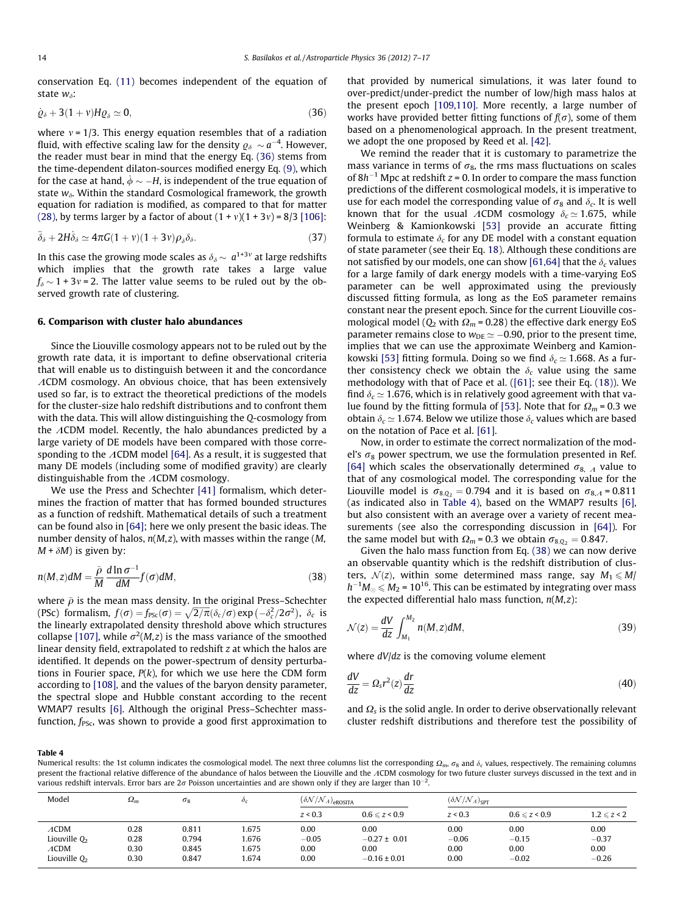<span id="page-7-0"></span>conservation Eq. [\(11\)](#page-2-0) becomes independent of the equation of state  $w_{\delta}$ :

$$
\dot{\varrho}_{\delta} + 3(1+\nu)H\varrho_{\delta} \simeq 0, \tag{36}
$$

where  $v = 1/3$ . This energy equation resembles that of a radiation fluid, with effective scaling law for the density  $\varrho_\delta \sim a^{-4}.$  However, the reader must bear in mind that the energy Eq. (36) stems from the time-dependent dilaton-sources modified energy Eq. [\(9\),](#page-2-0) which for the case at hand,  $\dot{\phi} \sim -H$ , is independent of the true equation of state  $w_{\delta}$ . Within the standard Cosmological framework, the growth equation for radiation is modified, as compared to that for matter [\(28\)](#page-5-0), by terms larger by a factor of about  $(1 + v)(1 + 3v) = 8/3$  [\[106\]:](#page-10-0)

$$
\ddot{\delta}_{\delta} + 2H\dot{\delta}_{\delta} \simeq 4\pi G(1+\nu)(1+3\nu)\rho_{\delta}\delta_{\delta}.
$$
 (37)

In this case the growing mode scales as  $\delta_{\delta} \sim a^{1+3\nu}$  at large redshifts which implies that the growth rate takes a large value  $f_{\delta} \sim 1+3v = 2$ . The latter value seems to be ruled out by the observed growth rate of clustering.

## 6. Comparison with cluster halo abundances

Since the Liouville cosmology appears not to be ruled out by the growth rate data, it is important to define observational criteria that will enable us to distinguish between it and the concordance  $\Lambda$ CDM cosmology. An obvious choice, that has been extensively used so far, is to extract the theoretical predictions of the models for the cluster-size halo redshift distributions and to confront them with the data. This will allow distinguishing the Q-cosmology from the  $\Lambda$ CDM model. Recently, the halo abundances predicted by a large variety of DE models have been compared with those corresponding to the  $\Lambda$ CDM model [\[64\].](#page-10-0) As a result, it is suggested that many DE models (including some of modified gravity) are clearly distinguishable from the  $\Lambda$ CDM cosmology.

We use the Press and Schechter [\[41\]](#page-10-0) formalism, which determines the fraction of matter that has formed bounded structures as a function of redshift. Mathematical details of such a treatment can be found also in [\[64\]](#page-10-0); here we only present the basic ideas. The number density of halos,  $n(M, z)$ , with masses within the range (M,  $M + \delta M$ ) is given by:

$$
n(M, z)dM = \frac{\bar{\rho}}{M} \frac{d \ln \sigma^{-1}}{dM} f(\sigma) dM,
$$
\n(38)

where  $\bar{\rho}$  is the mean mass density. In the original Press–Schechter (PSc) formalism,  $f(\sigma) = f_{PSC}(\sigma) = \sqrt{2/\pi} (\delta_c/\sigma) \exp(-\delta_c^2/2\sigma^2)$ ,  $\delta_c$  is the linearly extrapolated density threshold above which structures collapse [\[107\]](#page-10-0), while  $\sigma^2(M,z)$  is the mass variance of the smoothed linear density field, extrapolated to redshift z at which the halos are identified. It depends on the power-spectrum of density perturbations in Fourier space,  $P(k)$ , for which we use here the CDM form according to [\[108\],](#page-10-0) and the values of the baryon density parameter, the spectral slope and Hubble constant according to the recent WMAP7 results [\[6\]](#page-9-0). Although the original Press–Schechter massfunction,  $f_{PSc}$ , was shown to provide a good first approximation to that provided by numerical simulations, it was later found to over-predict/under-predict the number of low/high mass halos at the present epoch [\[109,110\]](#page-10-0). More recently, a large number of works have provided better fitting functions of  $f(\sigma)$ , some of them based on a phenomenological approach. In the present treatment, we adopt the one proposed by Reed et al. [\[42\].](#page-10-0)

We remind the reader that it is customary to parametrize the mass variance in terms of  $\sigma_8$ , the rms mass fluctuations on scales of  $8h^{-1}$  Mpc at redshift  $z = 0$ . In order to compare the mass function predictions of the different cosmological models, it is imperative to use for each model the corresponding value of  $\sigma_8$  and  $\delta_c$ . It is well known that for the usual ACDM cosmology  $\delta_c \simeq 1.675$ , while Weinberg & Kamionkowski [\[53\]](#page-10-0) provide an accurate fitting formula to estimate  $\delta_c$  for any DE model with a constant equation of state parameter (see their Eq. [18](#page-3-0)). Although these conditions are not satisfied by our models, one can show [\[61,64\]](#page-10-0) that the  $\delta_c$  values for a large family of dark energy models with a time-varying EoS parameter can be well approximated using the previously discussed fitting formula, as long as the EoS parameter remains constant near the present epoch. Since for the current Liouville cosmological model ( $Q_2$  with  $\Omega_m$  = 0.28) the effective dark energy EoS parameter remains close to  $w_{\text{DE}} \simeq -0.90$ , prior to the present time, implies that we can use the approximate Weinberg and Kamion-kowski [\[53\]](#page-10-0) fitting formula. Doing so we find  $\delta_c \simeq 1.668$ . As a further consistency check we obtain the  $\delta_c$  value using the same methodology with that of Pace et al. [\(\[61\];](#page-10-0) see their Eq. [\(18\)](#page-3-0)). We find  $\delta_c \simeq 1.676$ , which is in relatively good agreement with that va-lue found by the fitting formula of [\[53\].](#page-10-0) Note that for  $\Omega_m = 0.3$  we obtain  $\delta_c \simeq 1.674$ . Below we utilize those  $\delta_c$  values which are based on the notation of Pace et al. [\[61\].](#page-10-0)

Now, in order to estimate the correct normalization of the model's  $\sigma_8$  power spectrum, we use the formulation presented in Ref. [\[64\]](#page-10-0) which scales the observationally determined  $\sigma_{8, A}$  value to that of any cosmological model. The corresponding value for the Liouville model is  $\sigma_{8,Q_2} = 0.794$  and it is based on  $\sigma_{8,A} = 0.811$ (as indicated also in Table 4), based on the WMAP7 results [\[6\],](#page-9-0) but also consistent with an average over a variety of recent measurements (see also the corresponding discussion in [\[64\]](#page-10-0)). For the same model but with  $\Omega_m = 0.3$  we obtain  $\sigma_{8, Q_2} = 0.847$ .

Given the halo mass function from Eq. (38) we can now derive an observable quantity which is the redshift distribution of clusters,  $\mathcal{N}(z)$ , within some determined mass range, say  $M_1 \le M/$  $h^{-1}M_{\odot} \leqslant M_2$  = 10<sup>16</sup>. This can be estimated by integrating over mass the expected differential halo mass function,  $n(M,z)$ :

$$
\mathcal{N}(z) = \frac{dV}{dz} \int_{M_1}^{M_2} n(M, z) dM,
$$
\n(39)

where  $dV/dz$  is the comoving volume element

$$
\frac{dV}{dz} = \Omega_s r^2(z) \frac{dr}{dz}
$$
 (40)

and  $\Omega$ <sub>s</sub> is the solid angle. In order to derive observationally relevant cluster redshift distributions and therefore test the possibility of

#### Table 4

Numerical results: the 1st column indicates the cosmological model. The next three columns list the corresponding  $\Omega_m$ ,  $\sigma_8$  and  $\delta_c$  values, respectively. The remaining columns present the fractional relative difference of the abundance of halos between the Liouville and the ACDM cosmology for two future cluster surveys discussed in the text and in various redshift intervals. Error bars are 2 $\sigma$  Poisson uncertainties and are shown only if they are larger than 10<sup>–2</sup>.

| Model          | $\Omega_m$ | $\sigma_8$ | O <sub>C</sub> | $(\delta N/N_A)_{\text{eROSTA}}$ |                       |         | $(\delta N/\mathcal{N}_A)_{\rm SPT}$ |                  |  |
|----------------|------------|------------|----------------|----------------------------------|-----------------------|---------|--------------------------------------|------------------|--|
|                |            |            |                | z < 0.3                          | $0.6 \leq z \leq 0.9$ | z < 0.3 | $0.6 \le z \le 0.9$                  | $1.2 \leq z < 2$ |  |
| $\Lambda$ CDM  | 0.28       | 0.811      | 1.675          | 0.00                             | 0.00                  | 0.00    | 0.00                                 | 0.00             |  |
| Liouville $Q2$ | 0.28       | 0.794      | 1.676          | $-0.05$                          | $-0.27 \pm 0.01$      | $-0.06$ | $-0.15$                              | $-0.37$          |  |
| ACDM           | 0.30       | 0.845      | 1.675          | 0.00                             | 0.00                  | 0.00    | 0.00                                 | 0.00             |  |
| Liouville $Q2$ | 0.30       | 0.847      | 1.674          | 0.00                             | $-0.16 \pm 0.01$      | 0.00    | $-0.02$                              | $-0.26$          |  |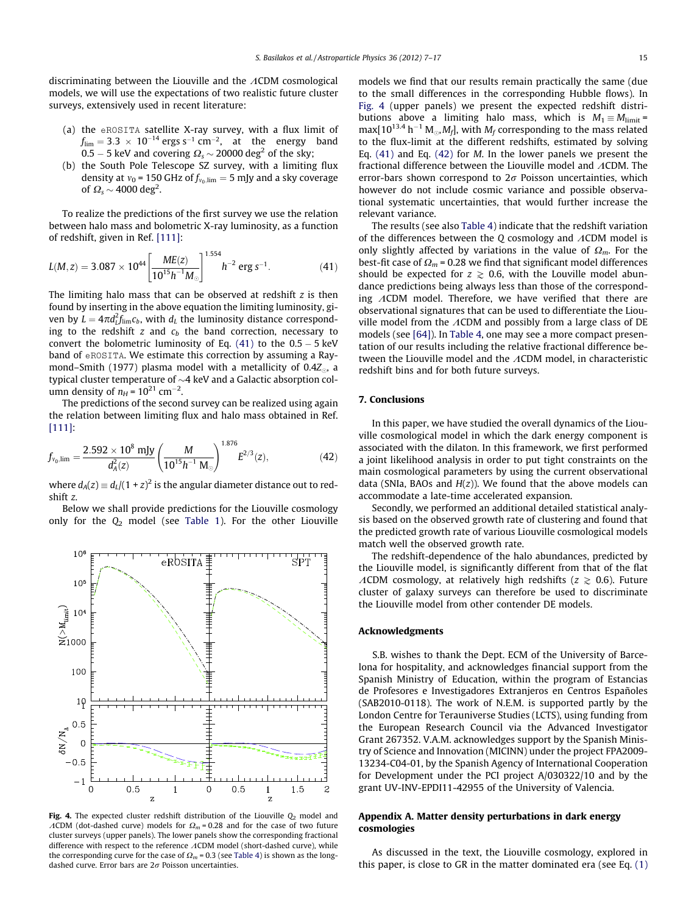<span id="page-8-0"></span>discriminating between the Liouville and the  $\Lambda$ CDM cosmological models, we will use the expectations of two realistic future cluster surveys, extensively used in recent literature:

- (a) the eROSITA satellite X-ray survey, with a flux limit of  $f_{\text{lim}} = 3.3 \times 10^{-14}$  ergs s<sup>-1</sup> cm<sup>-2</sup>, at the energy band 0.5 – 5 keV and covering  $\Omega_{\rm s}$   $\sim$  20000 deg<sup>2</sup> of the sky;
- (b) the South Pole Telescope SZ survey, with a limiting flux density at  $v_0$  = 150 GHz of  $f_{v_0,lim}$  = 5 mJy and a sky coverage of  $\Omega_s$  ~ 4000 deg<sup>2</sup>.

To realize the predictions of the first survey we use the relation between halo mass and bolometric X-ray luminosity, as a function of redshift, given in Ref. [\[111\]](#page-10-0):

$$
L(M, z) = 3.087 \times 10^{44} \left[ \frac{ME(z)}{10^{15} h^{-1} M_{\odot}} \right]^{1.554} h^{-2} \text{ erg s}^{-1}.
$$
 (41)

The limiting halo mass that can be observed at redshift  $z$  is then found by inserting in the above equation the limiting luminosity, given by  $L = 4\pi d_L^2 f_{\rm lim} c_b$ , with  $d_L$  the luminosity distance corresponding to the redshift  $z$  and  $c<sub>b</sub>$  the band correction, necessary to convert the bolometric luminosity of Eq. (41) to the 0.5 - 5 keV band of eROSITA. We estimate this correction by assuming a Raymond–Smith (1977) plasma model with a metallicity of 0.4Z $_{\odot}$ , a typical cluster temperature of  $\sim$ 4 keV and a Galactic absorption column density of  $n_H$  =  $10^{21}$  cm<sup>-2</sup>.

The predictions of the second survey can be realized using again the relation between limiting flux and halo mass obtained in Ref. [\[111\]:](#page-10-0)

$$
f_{v_0,\text{lim}} = \frac{2.592 \times 10^8 \text{ mJy}}{d_A^2(z)} \left(\frac{M}{10^{15}h^{-1} \text{ M}_{\odot}}\right)^{1.876} E^{2/3}(z), \tag{42}
$$

where  $d_A(z) \equiv d_L/(1+z)^2$  is the angular diameter distance out to redshift z.

Below we shall provide predictions for the Liouville cosmology only for the  $Q_2$  model (see [Table 1](#page-3-0)). For the other Liouville



Fig. 4. The expected cluster redshift distribution of the Liouville  $Q_2$  model and  $\Lambda$ CDM (dot-dashed curve) models for  $\Omega_m$  = 0.28 and for the case of two future cluster surveys (upper panels). The lower panels show the corresponding fractional difference with respect to the reference  $\Lambda$ CDM model (short-dashed curve), while the corresponding curve for the case of  $\Omega_m$  = 0.3 (see [Table 4](#page-7-0)) is shown as the longdashed curve. Error bars are  $2\sigma$  Poisson uncertainties.

models we find that our results remain practically the same (due to the small differences in the corresponding Hubble flows). In Fig. 4 (upper panels) we present the expected redshift distributions above a limiting halo mass, which is  $M_1 \equiv M_{\text{limit}} =$ max[10<sup>13.4</sup> h<sup>-1</sup> M<sub>o</sub>,M<sub>f</sub>], with M<sub>f</sub> corresponding to the mass related to the flux-limit at the different redshifts, estimated by solving Eq.  $(41)$  and Eq.  $(42)$  for *M*. In the lower panels we present the fractional difference between the Liouville model and  $\Lambda$ CDM. The error-bars shown correspond to  $2\sigma$  Poisson uncertainties, which however do not include cosmic variance and possible observational systematic uncertainties, that would further increase the relevant variance.

The results (see also [Table 4](#page-7-0)) indicate that the redshift variation of the differences between the  $Q$  cosmology and  $\Lambda$ CDM model is only slightly affected by variations in the value of  $\Omega_m$ . For the best-fit case of  $\Omega_m$  = 0.28 we find that significant model differences should be expected for  $z \ge 0.6$ , with the Louville model abundance predictions being always less than those of the corresponding  $ACDM$  model. Therefore, we have verified that there are observational signatures that can be used to differentiate the Liouville model from the  $\Lambda$ CDM and possibly from a large class of DE models (see [\[64\]](#page-10-0)). In [Table 4](#page-7-0), one may see a more compact presentation of our results including the relative fractional difference between the Liouville model and the  $\Lambda$ CDM model, in characteristic redshift bins and for both future surveys.

## 7. Conclusions

In this paper, we have studied the overall dynamics of the Liouville cosmological model in which the dark energy component is associated with the dilaton. In this framework, we first performed a joint likelihood analysis in order to put tight constraints on the main cosmological parameters by using the current observational data (SNIa, BAOs and  $H(z)$ ). We found that the above models can accommodate a late-time accelerated expansion.

Secondly, we performed an additional detailed statistical analysis based on the observed growth rate of clustering and found that the predicted growth rate of various Liouville cosmological models match well the observed growth rate.

The redshift-dependence of the halo abundances, predicted by the Liouville model, is significantly different from that of the flat ACDM cosmology, at relatively high redshifts ( $z \ge 0.6$ ). Future cluster of galaxy surveys can therefore be used to discriminate the Liouville model from other contender DE models.

## Acknowledgments

S.B. wishes to thank the Dept. ECM of the University of Barcelona for hospitality, and acknowledges financial support from the Spanish Ministry of Education, within the program of Estancias de Profesores e Investigadores Extranjeros en Centros Españoles (SAB2010-0118). The work of N.E.M. is supported partly by the London Centre for Terauniverse Studies (LCTS), using funding from the European Research Council via the Advanced Investigator Grant 267352. V.A.M. acknowledges support by the Spanish Ministry of Science and Innovation (MICINN) under the project FPA2009- 13234-C04-01, by the Spanish Agency of International Cooperation for Development under the PCI project A/030322/10 and by the grant UV-INV-EPDI11-42955 of the University of Valencia.

## Appendix A. Matter density perturbations in dark energy cosmologies

As discussed in the text, the Liouville cosmology, explored in this paper, is close to GR in the matter dominated era (see Eq. [\(1\)](#page-1-0)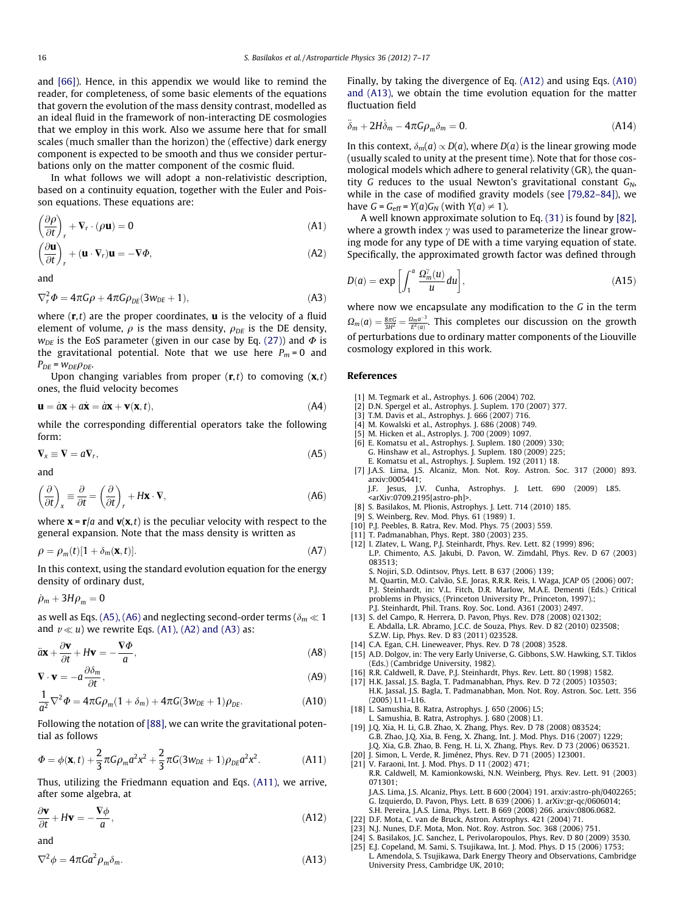<span id="page-9-0"></span>and [\[66\]\)](#page-10-0). Hence, in this appendix we would like to remind the reader, for completeness, of some basic elements of the equations that govern the evolution of the mass density contrast, modelled as an ideal fluid in the framework of non-interacting DE cosmologies that we employ in this work. Also we assume here that for small scales (much smaller than the horizon) the (effective) dark energy component is expected to be smooth and thus we consider perturbations only on the matter component of the cosmic fluid.

In what follows we will adopt a non-relativistic description, based on a continuity equation, together with the Euler and Poisson equations. These equations are:

$$
\left(\frac{\partial \rho}{\partial t}\right)_r + \nabla_r \cdot (\rho \mathbf{u}) = 0
$$
\n(A1)

$$
\left(\frac{\partial \mathbf{u}}{\partial t}\right)_r + (\mathbf{u} \cdot \nabla_r) \mathbf{u} = -\nabla \Phi,
$$
\n(A2)

and

$$
\nabla_r^2 \Phi = 4\pi G \rho + 4\pi G \rho_{DE} (3w_{DE} + 1), \tag{A3}
$$

where  $(r, t)$  are the proper coordinates, **u** is the velocity of a fluid element of volume,  $\rho$  is the mass density,  $\rho_{DE}$  is the DE density,  $w_{DE}$  is the EoS parameter (given in our case by Eq. [\(27\)\)](#page-4-0) and  $\Phi$  is the gravitational potential. Note that we use here  $P_m = 0$  and  $P_{DE}$  =  $W_{DE}\rho_{DE}$ .

Upon changing variables from proper  $(r, t)$  to comoving  $(x, t)$ ones, the fluid velocity becomes

$$
\mathbf{u} = a\mathbf{x} + a\dot{\mathbf{x}} = a\mathbf{x} + \mathbf{v}(\mathbf{x}, t),
$$
\n(A4)

while the corresponding differential operators take the following form:

$$
\nabla_x \equiv \nabla = a \nabla_r,\tag{A5}
$$

and

$$
\left(\frac{\partial}{\partial t}\right)_{x} \equiv \frac{\partial}{\partial t} = \left(\frac{\partial}{\partial t}\right)_{r} + H\mathbf{x} \cdot \mathbf{V},\tag{A6}
$$

where  $\mathbf{x} = \mathbf{r}/a$  and  $\mathbf{v}(\mathbf{x},t)$  is the peculiar velocity with respect to the general expansion. Note that the mass density is written as

$$
\rho = \rho_m(t)[1 + \delta_m(\mathbf{x}, t)].\tag{A7}
$$

In this context, using the standard evolution equation for the energy density of ordinary dust,

 $\dot{\rho}_m + 3H\rho_m = 0$ 

as well as Eqs. (A5), (A6) and neglecting second-order terms ( $\delta_m \ll 1$ and  $v \ll u$ ) we rewrite Eqs. (A1), (A2) and (A3) as:

$$
\ddot{a}\mathbf{x} + \frac{\partial \mathbf{v}}{\partial t} + H\mathbf{v} = -\frac{\nabla \Phi}{a},
$$
 (A8)

$$
\nabla \cdot \mathbf{v} = -a \frac{\partial \delta_m}{\partial t},
$$
 (A9)

$$
\frac{1}{a^2}\nabla^2\Phi = 4\pi G\rho_m(1+\delta_m) + 4\pi G(3w_{DE}+1)\rho_{DE}.\tag{A10}
$$

Following the notation of [\[88\],](#page-10-0) we can write the gravitational potential as follows

$$
\varPhi = \phi(\mathbf{x}, t) + \frac{2}{3}\pi G\rho_m a^2 x^2 + \frac{2}{3}\pi G(3w_{DE} + 1)\rho_{DE} a^2 x^2.
$$
 (A11)

Thus, utilizing the Friedmann equation and Eqs. (A11), we arrive, after some algebra, at

$$
\frac{\partial \mathbf{v}}{\partial t} + H \mathbf{v} = -\frac{\nabla \phi}{a},\tag{A12}
$$

and

$$
\nabla^2 \phi = 4\pi G a^2 \rho_m \delta_m. \tag{A13}
$$

Finally, by taking the divergence of Eq. (A12) and using Eqs. (A10) and (A13), we obtain the time evolution equation for the matter fluctuation field

$$
\ddot{\delta}_m + 2H\dot{\delta}_m - 4\pi G\rho_m \delta_m = 0. \tag{A14}
$$

In this context,  $\delta_m(a) \propto D(a)$ , where  $D(a)$  is the linear growing mode (usually scaled to unity at the present time). Note that for those cosmological models which adhere to general relativity (GR), the quantity G reduces to the usual Newton's gravitational constant  $G_N$ , while in the case of modified gravity models (see [\[79,82–84\]\)](#page-10-0), we have  $G = G_{\text{eff}} = Y(a)G_N$  (with  $Y(a) \neq 1$ ).

A well known approximate solution to Eq. [\(31\)](#page-5-0) is found by [\[82\],](#page-10-0) where a growth index  $\gamma$  was used to parameterize the linear growing mode for any type of DE with a time varying equation of state. Specifically, the approximated growth factor was defined through

$$
D(a) = \exp\left[\int_1^a \frac{\Omega_m^{\gamma}(u)}{u} du\right],\tag{A15}
$$

where now we encapsulate any modification to the G in the term  $\Omega_m(a) = \frac{8\pi G}{3H^2} = \frac{\Omega_m a^{-3}}{E^2(a)}$ . This completes our discussion on the growth of perturbations due to ordinary matter components of the Liouville cosmology explored in this work.

# References

- [1] M. Tegmark et al., Astrophys. J. 606 (2004) 702.
- [2] D.N. Spergel et al., Astrophys. J. Suplem. 170 (2007) 377.
- [3] T.M. Davis et al., Astrophys. J. 666 (2007) 716.
- [4] M. Kowalski et al., Astrophys. J. 686 (2008) 749.
- [5] M. Hicken et al., Astroplys. J. 700 (2009) 1097. [6] E. Komatsu et al., Astrophys. J. Suplem. 180 (2009) 330; G. Hinshaw et al., Astrophys. J. Suplem. 180 (2009) 225; E. Komatsu et al., Astrophys. J. Suplem. 192 (2011) 18.
- [7] J.A.S. Lima, J.S. Alcaniz, Mon. Not. Roy. Astron. Soc. 317 (2000) 893. arxiv:0005441;

J.F. Jesus, J.V. Cunha, Astrophys. J. Lett. 690 (2009) L85. <arXiv:0709.2195[astro-ph]>.

- [8] S. Basilakos, M. Plionis, Astrophys. J. Lett. 714 (2010) 185.
- [9] S. Weinberg, Rev. Mod. Phys. 61 (1989) 1.
- [10] P.J. Peebles, B. Ratra, Rev. Mod. Phys. 75 (2003) 559.
- [11] T. Padmanabhan, Phys. Rept. 380 (2003) 235.
- [12] I. Zlatev, L. Wang, P.J. Steinhardt, Phys. Rev. Lett. 82 (1999) 896; L.P. Chimento, A.S. Jakubi, D. Pavon, W. Zimdahl, Phys. Rev. D 67 (2003) 083513; S. Nojiri, S.D. Odintsov, Phys. Lett. B 637 (2006) 139; M. Quartin, M.O. Calvão, S.E. Joras, R.R.R. Reis, I. Waga, JCAP 05 (2006) 007; P.J. Steinhardt, in: V.L. Fitch, D.R. Marlow, M.A.E. Dementi (Eds.) Critical problems in Physics, (Princeton University Pr., Princeton, 1997).;
- P.J. Steinhardt, Phil. Trans. Roy. Soc. Lond. A361 (2003) 2497. [13] S. del Campo, R. Herrera, D. Pavon, Phys. Rev. D78 (2008) 021302; E. Abdalla, L.R. Abramo, J.C.C. de Souza, Phys. Rev. D 82 (2010) 023508; S.Z.W. Lip, Phys. Rev. D 83 (2011) 023528.
- [14] C.A. Egan, C.H. Lineweaver, Phys. Rev. D 78 (2008) 3528.
- [15] A.D. Dolgov, in: The very Early Universe, G. Gibbons, S.W. Hawking, S.T. Tiklos (Eds.) (Cambridge University, 1982).
- [16] R.R. Caldwell, R. Dave, P.J. Steinhardt, Phys. Rev. Lett. 80 (1998) 1582.
- H.K. Jassal, J.S. Bagla, T. Padmanabhan, Phys. Rev. D 72 (2005) 103503; H.K. Jassal, J.S. Bagla, T. Padmanabhan, Mon. Not. Roy. Astron. Soc. Lett. 356 (2005) L11–L16.
- [18] L. Samushia, B. Ratra, Astrophys. J. 650 (2006) L5; L. Samushia, B. Ratra, Astrophys. J. 680 (2008) L1.
- [19] J.Q. Xia, H. Li, G.B. Zhao, X. Zhang, Phys. Rev. D 78 (2008) 083524; G.B. Zhao, J.Q. Xia, B. Feng, X. Zhang, Int. J. Mod. Phys. D16 (2007) 1229; J.Q. Xia, G.B. Zhao, B. Feng, H. Li, X. Zhang, Phys. Rev. D 73 (2006) 063521.
- [20] J. Simon, L. Verde, R. Jiménez, Phys. Rev. D 71 (2005) 123001. [21] V. Faraoni, Int. J. Mod. Phys. D 11 (2002) 471; R.R. Caldwell, M. Kamionkowski, N.N. Weinberg, Phys. Rev. Lett. 91 (2003) 071301; J.A.S. Lima, J.S. Alcaniz, Phys. Lett. B 600 (2004) 191. arxiv:astro-ph/0402265;
	- G. Izquierdo, D. Pavon, Phys. Lett. B 639 (2006) 1. arXiv:gr-qc/0606014; S.H. Pereira, J.A.S. Lima, Phys. Lett. B 669 (2008) 266. arxiv:0806.0682.
- [22] D.F. Mota, C. van de Bruck, Astron. Astrophys. 421 (2004) 71.
- [23] N.J. Nunes, D.F. Mota, Mon. Not. Roy. Astron. Soc. 368 (2006) 751.
- [24] S. Basilakos, J.C. Sanchez, L. Perivolaropoulos, Phys. Rev. D 80 (2009) 3530.
- [25] E.J. Copeland, M. Sami, S. Tsujikawa, Int. J. Mod. Phys. D 15 (2006) 1753; L. Amendola, S. Tsujikawa, Dark Energy Theory and Observations, Cambridge University Press, Cambridge UK, 2010;